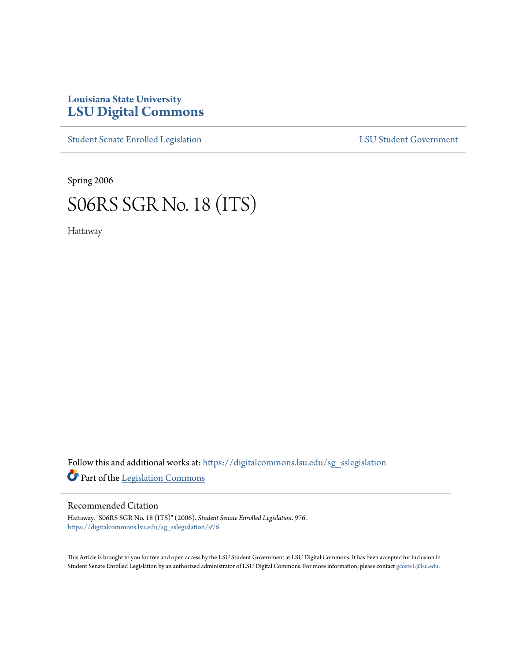## **Louisiana State University [LSU Digital Commons](https://digitalcommons.lsu.edu?utm_source=digitalcommons.lsu.edu%2Fsg_sslegislation%2F976&utm_medium=PDF&utm_campaign=PDFCoverPages)**

[Student Senate Enrolled Legislation](https://digitalcommons.lsu.edu/sg_sslegislation?utm_source=digitalcommons.lsu.edu%2Fsg_sslegislation%2F976&utm_medium=PDF&utm_campaign=PDFCoverPages) [LSU Student Government](https://digitalcommons.lsu.edu/sg?utm_source=digitalcommons.lsu.edu%2Fsg_sslegislation%2F976&utm_medium=PDF&utm_campaign=PDFCoverPages)

Spring 2006

## S06RS SGR No. 18 (ITS)

Hattaway

Follow this and additional works at: [https://digitalcommons.lsu.edu/sg\\_sslegislation](https://digitalcommons.lsu.edu/sg_sslegislation?utm_source=digitalcommons.lsu.edu%2Fsg_sslegislation%2F976&utm_medium=PDF&utm_campaign=PDFCoverPages) Part of the [Legislation Commons](http://network.bepress.com/hgg/discipline/859?utm_source=digitalcommons.lsu.edu%2Fsg_sslegislation%2F976&utm_medium=PDF&utm_campaign=PDFCoverPages)

## Recommended Citation

Hattaway, "S06RS SGR No. 18 (ITS)" (2006). *Student Senate Enrolled Legislation*. 976. [https://digitalcommons.lsu.edu/sg\\_sslegislation/976](https://digitalcommons.lsu.edu/sg_sslegislation/976?utm_source=digitalcommons.lsu.edu%2Fsg_sslegislation%2F976&utm_medium=PDF&utm_campaign=PDFCoverPages)

This Article is brought to you for free and open access by the LSU Student Government at LSU Digital Commons. It has been accepted for inclusion in Student Senate Enrolled Legislation by an authorized administrator of LSU Digital Commons. For more information, please contact [gcoste1@lsu.edu.](mailto:gcoste1@lsu.edu)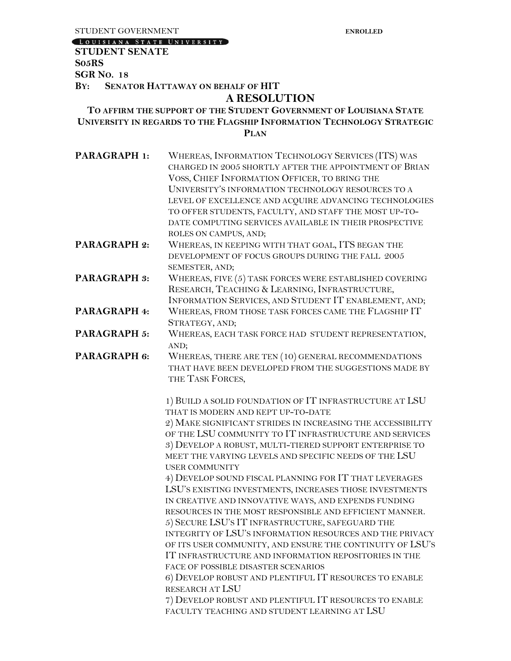LOUISIANA STATE UNIVERSITY

## **STUDENT SENATE S05RS SGR NO. 18 BY: SENATOR HATTAWAY ON BEHALF OF HIT A RESOLUTION TO AFFIRM THE SUPPORT OF THE STUDENT GOVERNMENT OF LOUISIANA STATE UNIVERSITY IN REGARDS TO THE FLAGSHIP INFORMATION TECHNOLOGY STRATEGIC PLAN** PARAGRAPH 1: WHEREAS, INFORMATION TECHNOLOGY SERVICES (ITS) WAS CHARGED IN 2005 SHORTLY AFTER THE APPOINTMENT OF BRIAN VOSS, CHIEF INFORMATION OFFICER, TO BRING THE UNIVERSITY'S INFORMATION TECHNOLOGY RESOURCES TO A LEVEL OF EXCELLENCE AND ACQUIRE ADVANCING TECHNOLOGIES TO OFFER STUDENTS, FACULTY, AND STAFF THE MOST UP-TO-DATE COMPUTING SERVICES AVAILABLE IN THEIR PROSPECTIVE ROLES ON CAMPUS, AND; **PARAGRAPH 2:** WHEREAS, IN KEEPING WITH THAT GOAL, ITS BEGAN THE DEVELOPMENT OF FOCUS GROUPS DURING THE FALL 2005 SEMESTER, AND; **PARAGRAPH 3:** WHEREAS, FIVE (5) TASK FORCES WERE ESTABLISHED COVERING RESEARCH, TEACHING & LEARNING, INFRASTRUCTURE, INFORMATION SERVICES, AND STUDENT IT ENABLEMENT, AND; **PARAGRAPH 4:** WHEREAS, FROM THOSE TASK FORCES CAME THE FLAGSHIP IT STRATEGY, AND; PARAGRAPH 5: WHEREAS, EACH TASK FORCE HAD STUDENT REPRESENTATION, AND; PARAGRAPH 6: WHEREAS, THERE ARE TEN (10) GENERAL RECOMMENDATIONS THAT HAVE BEEN DEVELOPED FROM THE SUGGESTIONS MADE BY THE TASK FORCES, 1) BUILD A SOLID FOUNDATION OF IT INFRASTRUCTURE AT LSU THAT IS MODERN AND KEPT UP-TO-DATE 2) MAKE SIGNIFICANT STRIDES IN INCREASING THE ACCESSIBILITY OF THE LSU COMMUNITY TO IT INFRASTRUCTURE AND SERVICES 3) DEVELOP A ROBUST, MULTI-TIERED SUPPORT ENTERPRISE TO MEET THE VARYING LEVELS AND SPECIFIC NEEDS OF THE LSU USER COMMUNITY 4) DEVELOP SOUND FISCAL PLANNING FOR IT THAT LEVERAGES LSU'S EXISTING INVESTMENTS, INCREASES THOSE INVESTMENTS IN CREATIVE AND INNOVATIVE WAYS, AND EXPENDS FUNDING RESOURCES IN THE MOST RESPONSIBLE AND EFFICIENT MANNER. 5) SECURE LSU'S IT INFRASTRUCTURE, SAFEGUARD THE INTEGRITY OF LSU'S INFORMATION RESOURCES AND THE PRIVACY OF ITS USER COMMUNITY, AND ENSURE THE CONTINUITY OF LSU'S IT INFRASTRUCTURE AND INFORMATION REPOSITORIES IN THE FACE OF POSSIBLE DISASTER SCENARIOS 6) DEVELOP ROBUST AND PLENTIFUL IT RESOURCES TO ENABLE RESEARCH AT LSU 7) DEVELOP ROBUST AND PLENTIFUL IT RESOURCES TO ENABLE FACULTY TEACHING AND STUDENT LEARNING AT LSU